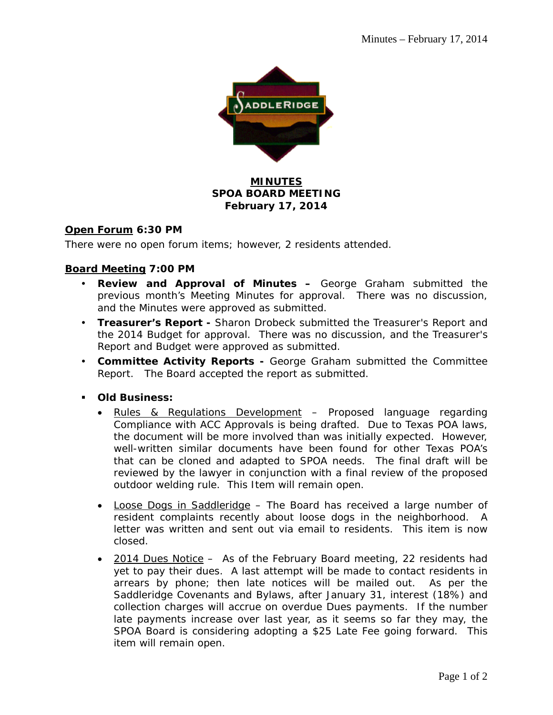

### **MINUTES SPOA BOARD MEETING February 17, 2014**

### **Open Forum 6:30 PM**

There were no open forum items; however, 2 residents attended.

### **Board Meeting 7:00 PM**

- **Review and Approval of Minutes –** George Graham submitted the previous month's Meeting Minutes for approval. There was no discussion, and the Minutes were approved as submitted.
- **Treasurer's Report** Sharon Drobeck submitted the Treasurer's Report and the 2014 Budget for approval. There was no discussion, and the Treasurer's Report and Budget were approved as submitted.
- **Committee Activity Reports** George Graham submitted the Committee Report. The Board accepted the report as submitted.
- **Old Business:** 
	- Rules & Regulations Development Proposed language regarding Compliance with ACC Approvals is being drafted. Due to Texas POA laws, the document will be more involved than was initially expected. However, well-written similar documents have been found for other Texas POA's that can be cloned and adapted to SPOA needs. The final draft will be reviewed by the lawyer in conjunction with a final review of the proposed outdoor welding rule. This Item will remain open.
	- Loose Dogs in Saddleridge The Board has received a large number of resident complaints recently about loose dogs in the neighborhood. A letter was written and sent out via email to residents. This item is now closed.
	- 2014 Dues Notice As of the February Board meeting, 22 residents had yet to pay their dues. A last attempt will be made to contact residents in arrears by phone; then late notices will be mailed out. As per the Saddleridge Covenants and Bylaws, after January 31, interest (18%) and collection charges will accrue on overdue Dues payments. If the number late payments increase over last year, as it seems so far they may, the SPOA Board is considering adopting a \$25 Late Fee going forward. This item will remain open.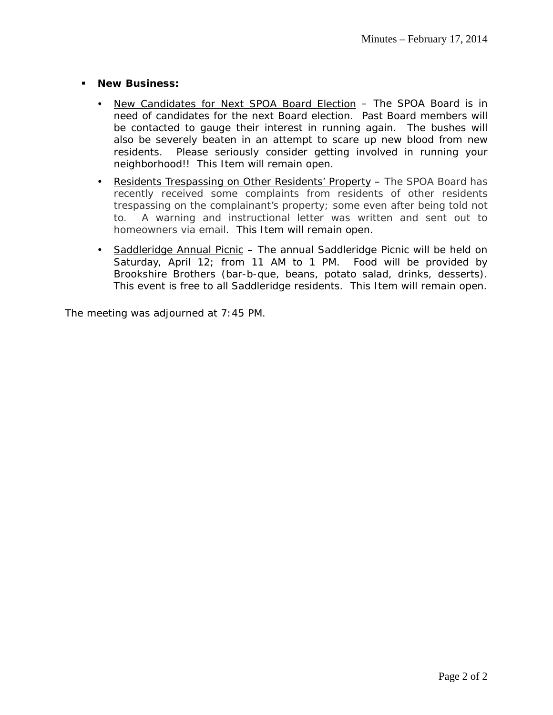- **New Business:** 
	- New Candidates for Next SPOA Board Election The SPOA Board is in need of candidates for the next Board election. Past Board members will be contacted to gauge their interest in running again. The bushes will also be severely beaten in an attempt to scare up new blood from new residents. Please seriously consider getting involved in running your neighborhood!! This Item will remain open.
	- Residents Trespassing on Other Residents' Property The SPOA Board has recently received some complaints from residents of other residents trespassing on the complainant's property; some even after being told not to. A warning and instructional letter was written and sent out to homeowners via email. This Item will remain open.
	- Saddleridge Annual Picnic The annual Saddleridge Picnic will be held on Saturday, April 12; from 11 AM to 1 PM. Food will be provided by Brookshire Brothers (bar-b-que, beans, potato salad, drinks, desserts). This event is free to all Saddleridge residents. This Item will remain open.

The meeting was adjourned at 7:45 PM.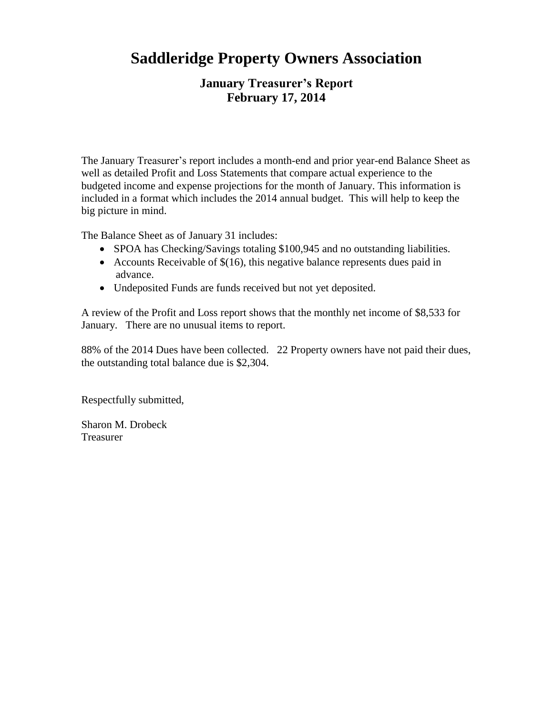# **Saddleridge Property Owners Association**

## **January Treasurer's Report February 17, 2014**

The January Treasurer's report includes a month-end and prior year-end Balance Sheet as well as detailed Profit and Loss Statements that compare actual experience to the budgeted income and expense projections for the month of January. This information is included in a format which includes the 2014 annual budget. This will help to keep the big picture in mind.

The Balance Sheet as of January 31 includes:

- SPOA has Checking/Savings totaling \$100,945 and no outstanding liabilities.
- Accounts Receivable of  $$(16)$ , this negative balance represents dues paid in advance.
- Undeposited Funds are funds received but not yet deposited.

A review of the Profit and Loss report shows that the monthly net income of \$8,533 for January. There are no unusual items to report.

88% of the 2014 Dues have been collected. 22 Property owners have not paid their dues, the outstanding total balance due is \$2,304.

Respectfully submitted,

Sharon M. Drobeck Treasurer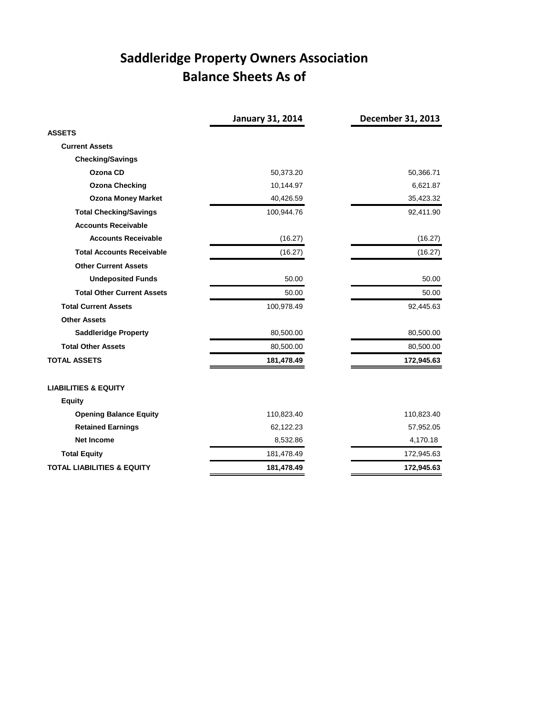# **Saddleridge Property Owners Association Balance Sheets As of**

|                                       | <b>January 31, 2014</b> | December 31, 2013 |
|---------------------------------------|-------------------------|-------------------|
| <b>ASSETS</b>                         |                         |                   |
| <b>Current Assets</b>                 |                         |                   |
| <b>Checking/Savings</b>               |                         |                   |
| Ozona CD                              | 50,373.20               | 50,366.71         |
| <b>Ozona Checking</b>                 | 10,144.97               | 6,621.87          |
| <b>Ozona Money Market</b>             | 40,426.59               | 35,423.32         |
| <b>Total Checking/Savings</b>         | 100,944.76              | 92,411.90         |
| <b>Accounts Receivable</b>            |                         |                   |
| <b>Accounts Receivable</b>            | (16.27)                 | (16.27)           |
| <b>Total Accounts Receivable</b>      | (16.27)                 | (16.27)           |
| <b>Other Current Assets</b>           |                         |                   |
| <b>Undeposited Funds</b>              | 50.00                   | 50.00             |
| <b>Total Other Current Assets</b>     | 50.00                   | 50.00             |
| <b>Total Current Assets</b>           | 100,978.49              | 92,445.63         |
| <b>Other Assets</b>                   |                         |                   |
| <b>Saddleridge Property</b>           | 80,500.00               | 80,500.00         |
| <b>Total Other Assets</b>             | 80,500.00               | 80,500.00         |
| <b>TOTAL ASSETS</b>                   | 181,478.49              | 172,945.63        |
| <b>LIABILITIES &amp; EQUITY</b>       |                         |                   |
| <b>Equity</b>                         |                         |                   |
| <b>Opening Balance Equity</b>         | 110,823.40              | 110,823.40        |
| <b>Retained Earnings</b>              | 62,122.23               | 57,952.05         |
| <b>Net Income</b>                     | 8,532.86                | 4,170.18          |
| <b>Total Equity</b>                   | 181,478.49              | 172,945.63        |
| <b>TOTAL LIABILITIES &amp; EQUITY</b> | 181,478.49              | 172,945.63        |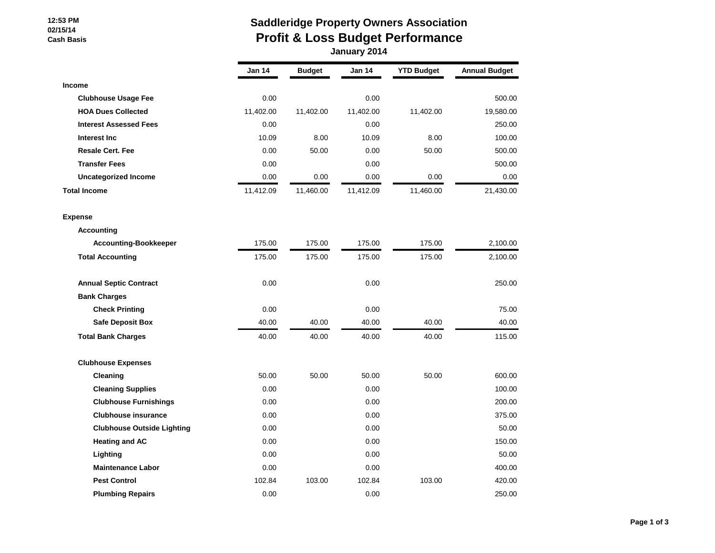#### **12:53 PM 02/15/14 Cash Basis**

# **Saddleridge Property Owners Association Profit & Loss Budget Performance**

 **January 2014**

|                                   | Jan 14    | <b>Budget</b> | Jan 14    | <b>YTD Budget</b> | <b>Annual Budget</b> |
|-----------------------------------|-----------|---------------|-----------|-------------------|----------------------|
| <b>Income</b>                     |           |               |           |                   |                      |
| <b>Clubhouse Usage Fee</b>        | 0.00      |               | 0.00      |                   | 500.00               |
| <b>HOA Dues Collected</b>         | 11,402.00 | 11,402.00     | 11,402.00 | 11,402.00         | 19,580.00            |
| <b>Interest Assessed Fees</b>     | 0.00      |               | 0.00      |                   | 250.00               |
| Interest Inc.                     | 10.09     | 8.00          | 10.09     | 8.00              | 100.00               |
| <b>Resale Cert. Fee</b>           | 0.00      | 50.00         | 0.00      | 50.00             | 500.00               |
| <b>Transfer Fees</b>              | 0.00      |               | 0.00      |                   | 500.00               |
| <b>Uncategorized Income</b>       | 0.00      | 0.00          | 0.00      | 0.00              | 0.00                 |
| <b>Total Income</b>               | 11,412.09 | 11,460.00     | 11,412.09 | 11,460.00         | 21,430.00            |
| <b>Expense</b>                    |           |               |           |                   |                      |
| Accounting                        |           |               |           |                   |                      |
| <b>Accounting-Bookkeeper</b>      | 175.00    | 175.00        | 175.00    | 175.00            | 2,100.00             |
| <b>Total Accounting</b>           | 175.00    | 175.00        | 175.00    | 175.00            | 2,100.00             |
| <b>Annual Septic Contract</b>     | 0.00      |               | 0.00      |                   | 250.00               |
| <b>Bank Charges</b>               |           |               |           |                   |                      |
| <b>Check Printing</b>             | 0.00      |               | 0.00      |                   | 75.00                |
| <b>Safe Deposit Box</b>           | 40.00     | 40.00         | 40.00     | 40.00             | 40.00                |
| <b>Total Bank Charges</b>         | 40.00     | 40.00         | 40.00     | 40.00             | 115.00               |
| <b>Clubhouse Expenses</b>         |           |               |           |                   |                      |
| Cleaning                          | 50.00     | 50.00         | 50.00     | 50.00             | 600.00               |
| <b>Cleaning Supplies</b>          | 0.00      |               | 0.00      |                   | 100.00               |
| <b>Clubhouse Furnishings</b>      | 0.00      |               | 0.00      |                   | 200.00               |
| <b>Clubhouse insurance</b>        | 0.00      |               | 0.00      |                   | 375.00               |
| <b>Clubhouse Outside Lighting</b> | 0.00      |               | 0.00      |                   | 50.00                |
| <b>Heating and AC</b>             | 0.00      |               | 0.00      |                   | 150.00               |
| Lighting                          | 0.00      |               | 0.00      |                   | 50.00                |
| <b>Maintenance Labor</b>          | 0.00      |               | 0.00      |                   | 400.00               |
| <b>Pest Control</b>               | 102.84    | 103.00        | 102.84    | 103.00            | 420.00               |
| <b>Plumbing Repairs</b>           | 0.00      |               | 0.00      |                   | 250.00               |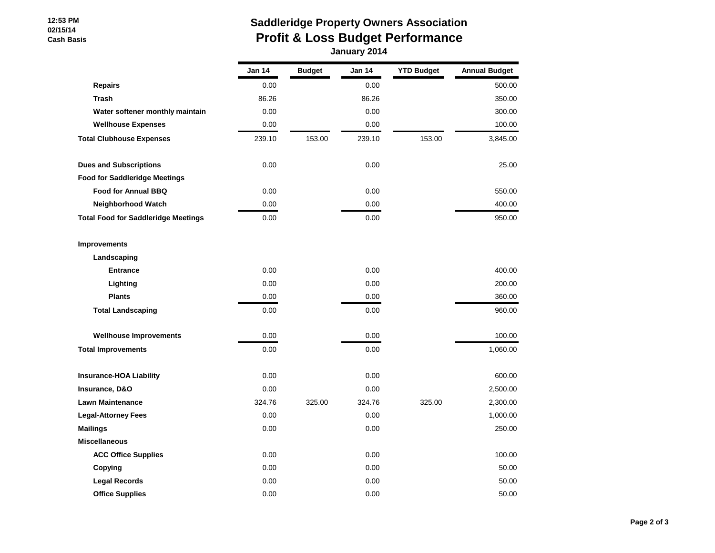#### **12:53 PM 02/15/14 Cash Basis**

## **Saddleridge Property Owners Association Profit & Loss Budget Performance January 2014**

|                                            | Jan 14 | <b>Budget</b> | Jan 14 | <b>YTD Budget</b> | <b>Annual Budget</b> |
|--------------------------------------------|--------|---------------|--------|-------------------|----------------------|
| <b>Repairs</b>                             | 0.00   |               | 0.00   |                   | 500.00               |
| <b>Trash</b>                               | 86.26  |               | 86.26  |                   | 350.00               |
| Water softener monthly maintain            | 0.00   |               | 0.00   |                   | 300.00               |
| <b>Wellhouse Expenses</b>                  | 0.00   |               | 0.00   |                   | 100.00               |
| <b>Total Clubhouse Expenses</b>            | 239.10 | 153.00        | 239.10 | 153.00            | 3,845.00             |
| <b>Dues and Subscriptions</b>              | 0.00   |               | 0.00   |                   | 25.00                |
| <b>Food for Saddleridge Meetings</b>       |        |               |        |                   |                      |
| <b>Food for Annual BBQ</b>                 | 0.00   |               | 0.00   |                   | 550.00               |
| Neighborhood Watch                         | 0.00   |               | 0.00   |                   | 400.00               |
| <b>Total Food for Saddleridge Meetings</b> | 0.00   |               | 0.00   |                   | 950.00               |
| <b>Improvements</b>                        |        |               |        |                   |                      |
| Landscaping                                |        |               |        |                   |                      |
| <b>Entrance</b>                            | 0.00   |               | 0.00   |                   | 400.00               |
| Lighting                                   | 0.00   |               | 0.00   |                   | 200.00               |
| <b>Plants</b>                              | 0.00   |               | 0.00   |                   | 360.00               |
| <b>Total Landscaping</b>                   | 0.00   |               | 0.00   |                   | 960.00               |
| <b>Wellhouse Improvements</b>              | 0.00   |               | 0.00   |                   | 100.00               |
| <b>Total Improvements</b>                  | 0.00   |               | 0.00   |                   | 1,060.00             |
| <b>Insurance-HOA Liability</b>             | 0.00   |               | 0.00   |                   | 600.00               |
| Insurance, D&O                             | 0.00   |               | 0.00   |                   | 2,500.00             |
| <b>Lawn Maintenance</b>                    | 324.76 | 325.00        | 324.76 | 325.00            | 2,300.00             |
| <b>Legal-Attorney Fees</b>                 | 0.00   |               | 0.00   |                   | 1,000.00             |
| <b>Mailings</b>                            | 0.00   |               | 0.00   |                   | 250.00               |
| <b>Miscellaneous</b>                       |        |               |        |                   |                      |
| <b>ACC Office Supplies</b>                 | 0.00   |               | 0.00   |                   | 100.00               |
| Copying                                    | 0.00   |               | 0.00   |                   | 50.00                |
| <b>Legal Records</b>                       | 0.00   |               | 0.00   |                   | 50.00                |
| <b>Office Supplies</b>                     | 0.00   |               | 0.00   |                   | 50.00                |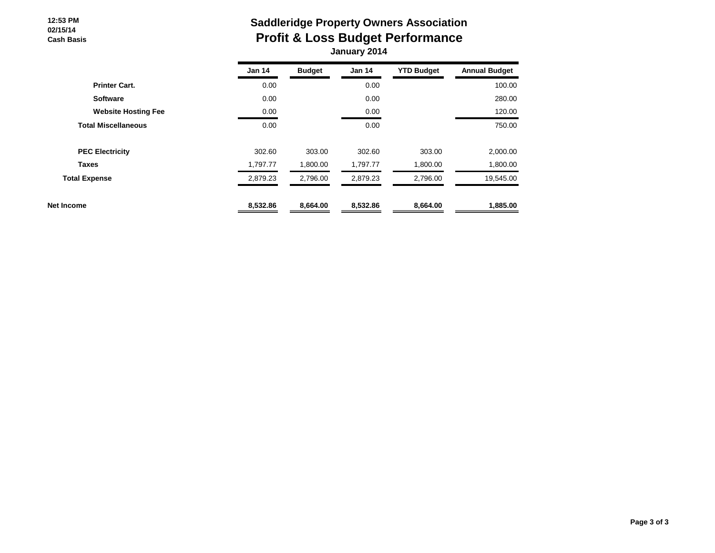#### **12:53 PM 02/15/14 Cash Basis**

## **Saddleridge Property Owners Association Profit & Loss Budget Performance January 2014**

|                            | <b>Jan 14</b> | <b>Budget</b> | <b>Jan 14</b> | <b>YTD Budget</b> | <b>Annual Budget</b> |
|----------------------------|---------------|---------------|---------------|-------------------|----------------------|
| <b>Printer Cart.</b>       | 0.00          |               | 0.00          |                   | 100.00               |
| <b>Software</b>            | 0.00          |               | 0.00          |                   | 280.00               |
| <b>Website Hosting Fee</b> | 0.00          |               | 0.00          |                   | 120.00               |
| <b>Total Miscellaneous</b> | 0.00          |               | 0.00          |                   | 750.00               |
| <b>PEC Electricity</b>     | 302.60        | 303.00        | 302.60        | 303.00            | 2,000.00             |
| <b>Taxes</b>               | 1.797.77      | 1,800.00      | 1.797.77      | 1,800.00          | 1,800.00             |
| <b>Total Expense</b>       | 2,879.23      | 2,796.00      | 2,879.23      | 2,796.00          | 19,545.00            |
| Net Income                 | 8.532.86      | 8.664.00      | 8.532.86      | 8.664.00          | 1.885.00             |